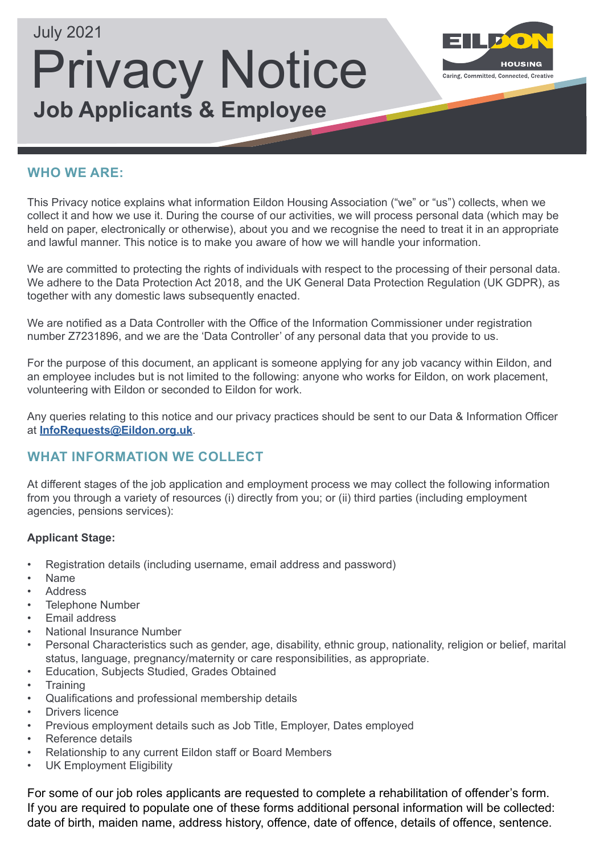

#### **WHO WE ARE:**

This Privacy notice explains what information Eildon Housing Association ("we" or "us") collects, when we collect it and how we use it. During the course of our activities, we will process personal data (which may be held on paper, electronically or otherwise), about you and we recognise the need to treat it in an appropriate and lawful manner. This notice is to make you aware of how we will handle your information.

We are committed to protecting the rights of individuals with respect to the processing of their personal data. We adhere to the Data Protection Act 2018, and the UK General Data Protection Regulation (UK GDPR), as together with any domestic laws subsequently enacted.

We are notified as a Data Controller with the Office of the Information Commissioner under registration number Z7231896, and we are the 'Data Controller' of any personal data that you provide to us.

For the purpose of this document, an applicant is someone applying for any job vacancy within Eildon, and an employee includes but is not limited to the following: anyone who works for Eildon, on work placement, volunteering with Eildon or seconded to Eildon for work.

Any queries relating to this notice and our privacy practices should be sent to our Data & Information Officer at **[InfoRequests@Eildon.org.uk](mailto:InfoRequests%40Eildon.org.uk?subject=Privacy%20Notice%3A%20Job%20Applicants%20%26%20Employee)**.

# **WHAT INFORMATION WE COLLECT**

At different stages of the job application and employment process we may collect the following information from you through a variety of resources (i) directly from you; or (ii) third parties (including employment agencies, pensions services):

#### **Applicant Stage:**

- Registration details (including username, email address and password)
- Name
- **Address**
- Telephone Number
- Email address
- National Insurance Number
- Personal Characteristics such as gender, age, disability, ethnic group, nationality, religion or belief, marital status, language, pregnancy/maternity or care responsibilities, as appropriate.
- Education, Subjects Studied, Grades Obtained
- Training
- Qualifications and professional membership details
- Drivers licence
- Previous employment details such as Job Title, Employer, Dates employed
- Reference details
- Relationship to any current Eildon staff or Board Members
- UK Employment Eligibility

For some of our job roles applicants are requested to complete a rehabilitation of offender's form. If you are required to populate one of these forms additional personal information will be collected: date of birth, maiden name, address history, offence, date of offence, details of offence, sentence.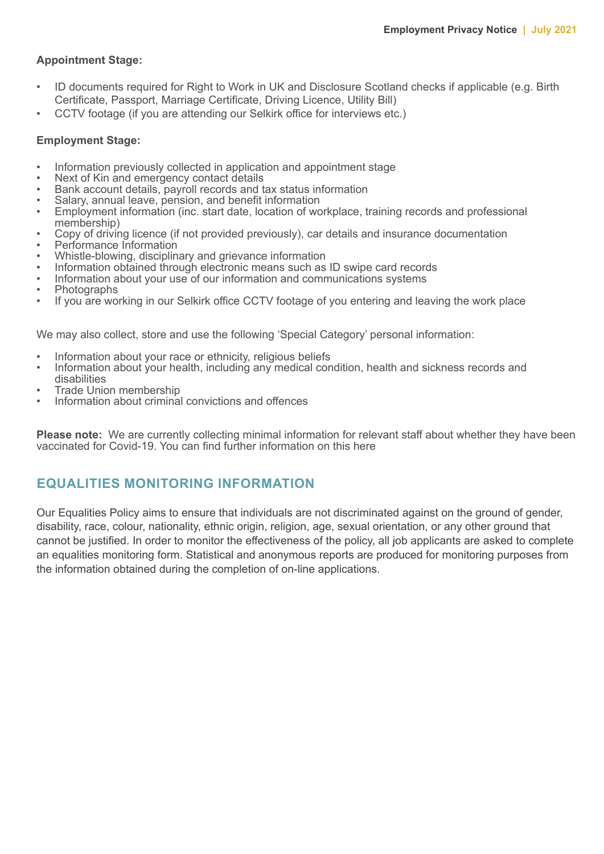#### **Appointment Stage:**

- ID documents required for Right to Work in UK and Disclosure Scotland checks if applicable (e.g. Birth Certificate, Passport, Marriage Certificate, Driving Licence, Utility Bill)
- CCTV footage (if you are attending our Selkirk office for interviews etc.)

#### **Employment Stage:**

- Information previously collected in application and appointment stage
- Next of Kin and emergency contact details
- Bank account details, payroll records and tax status information
- Salary, annual leave, pension, and benefit information
- Employment information (inc. start date, location of workplace, training records and professional membership)
- Copy of driving licence (if not provided previously), car details and insurance documentation
- Performance Information
- Whistle-blowing, disciplinary and grievance information
- Information obtained through electronic means such as ID swipe card records
- Information about your use of our information and communications systems
- **Photographs**
- If you are working in our Selkirk office CCTV footage of you entering and leaving the work place

We may also collect, store and use the following 'Special Category' personal information:

- Information about your race or ethnicity, religious beliefs
- Information about your health, including any medical condition, health and sickness records and disabilities
- Trade Union membership
- Information about criminal convictions and offences

**Please note:** We are currently collecting minimal information for relevant staff about whether they have been vaccinated for Covid-19. You can find further information on this here

#### **EQUALITIES MONITORING INFORMATION**

Our Equalities Policy aims to ensure that individuals are not discriminated against on the ground of gender, disability, race, colour, nationality, ethnic origin, religion, age, sexual orientation, or any other ground that cannot be justified. In order to monitor the effectiveness of the policy, all job applicants are asked to complete an equalities monitoring form. Statistical and anonymous reports are produced for monitoring purposes from the information obtained during the completion of on-line applications.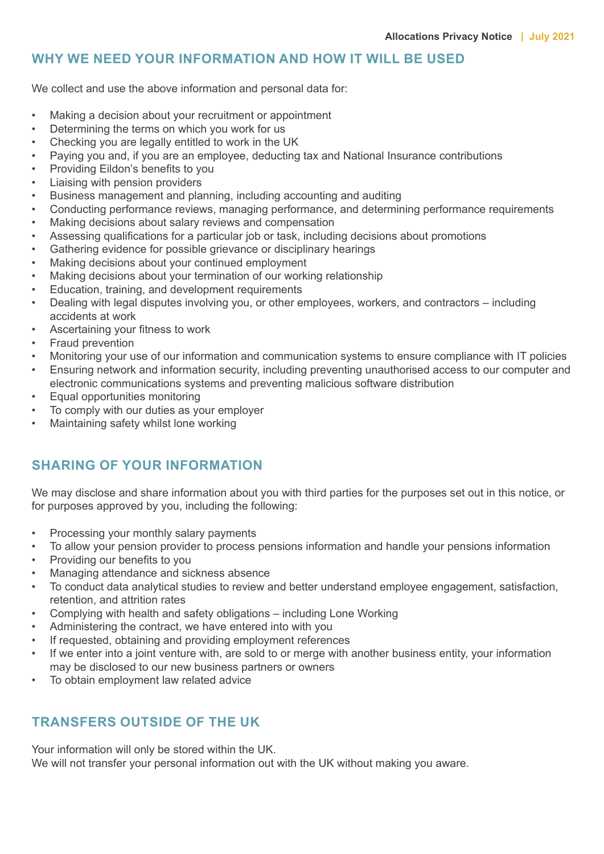#### **WHY WE NEED YOUR INFORMATION AND HOW IT WILL BE USED**

We collect and use the above information and personal data for:

- Making a decision about your recruitment or appointment
- Determining the terms on which you work for us
- Checking you are legally entitled to work in the UK
- Paying you and, if you are an employee, deducting tax and National Insurance contributions
- Providing Eildon's benefits to you
- Liaising with pension providers
- Business management and planning, including accounting and auditing
- Conducting performance reviews, managing performance, and determining performance requirements
- Making decisions about salary reviews and compensation
- Assessing qualifications for a particular job or task, including decisions about promotions
- Gathering evidence for possible grievance or disciplinary hearings
- Making decisions about your continued employment
- Making decisions about your termination of our working relationship
- Education, training, and development requirements
- Dealing with legal disputes involving you, or other employees, workers, and contractors including accidents at work
- Ascertaining your fitness to work
- Fraud prevention
- Monitoring your use of our information and communication systems to ensure compliance with IT policies
- Ensuring network and information security, including preventing unauthorised access to our computer and electronic communications systems and preventing malicious software distribution
- Equal opportunities monitoring
- To comply with our duties as your employer
- Maintaining safety whilst lone working

# **SHARING OF YOUR INFORMATION**

We may disclose and share information about you with third parties for the purposes set out in this notice, or for purposes approved by you, including the following:

- Processing your monthly salary payments
- To allow your pension provider to process pensions information and handle your pensions information
- Providing our benefits to you
- Managing attendance and sickness absence
- To conduct data analytical studies to review and better understand employee engagement, satisfaction, retention, and attrition rates
- Complying with health and safety obligations including Lone Working
- Administering the contract, we have entered into with you
- If requested, obtaining and providing employment references
- If we enter into a joint venture with, are sold to or merge with another business entity, your information may be disclosed to our new business partners or owners
- To obtain employment law related advice

# **TRANSFERS OUTSIDE OF THE UK**

Your information will only be stored within the UK. We will not transfer your personal information out with the UK without making you aware.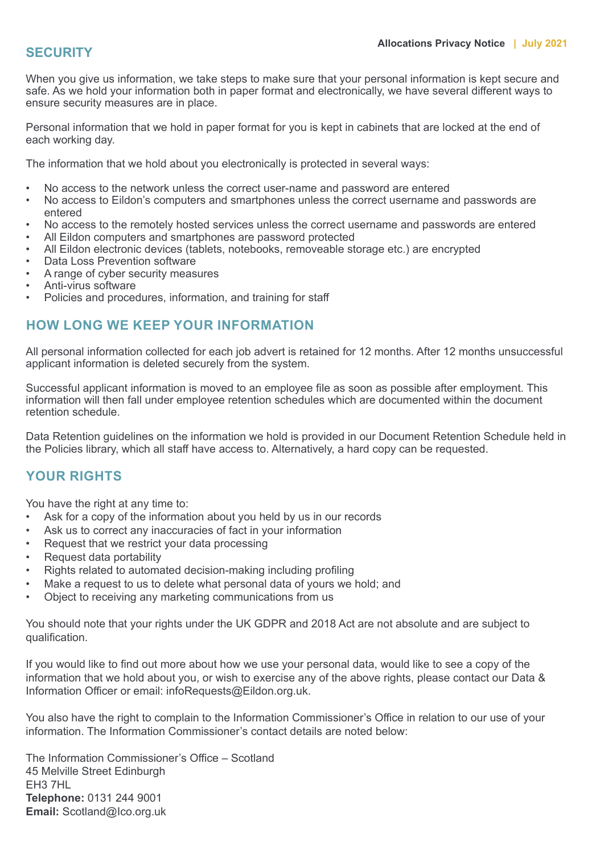#### **SECURITY**

When you give us information, we take steps to make sure that your personal information is kept secure and safe. As we hold your information both in paper format and electronically, we have several different ways to ensure security measures are in place.

Personal information that we hold in paper format for you is kept in cabinets that are locked at the end of each working day.

The information that we hold about you electronically is protected in several ways:

- No access to the network unless the correct user-name and password are entered
- No access to Eildon's computers and smartphones unless the correct username and passwords are entered
- No access to the remotely hosted services unless the correct username and passwords are entered
- All Eildon computers and smartphones are password protected
- All Eildon electronic devices (tablets, notebooks, removeable storage etc.) are encrypted
- Data Loss Prevention software
- A range of cyber security measures
- Anti-virus software
- Policies and procedures, information, and training for staff

# **HOW LONG WE KEEP YOUR INFORMATION**

All personal information collected for each job advert is retained for 12 months. After 12 months unsuccessful applicant information is deleted securely from the system.

Successful applicant information is moved to an employee file as soon as possible after employment. This information will then fall under employee retention schedules which are documented within the document retention schedule.

Data Retention guidelines on the information we hold is provided in our Document Retention Schedule held in the Policies library, which all staff have access to. Alternatively, a hard copy can be requested.

# **YOUR RIGHTS**

You have the right at any time to:

- Ask for a copy of the information about you held by us in our records
- Ask us to correct any inaccuracies of fact in your information
- Request that we restrict your data processing
- Request data portability
- Rights related to automated decision-making including profiling
- Make a request to us to delete what personal data of yours we hold; and
- Object to receiving any marketing communications from us

You should note that your rights under the UK GDPR and 2018 Act are not absolute and are subject to qualification.

If you would like to find out more about how we use your personal data, would like to see a copy of the information that we hold about you, or wish to exercise any of the above rights, please contact our Data & Information Officer or email: infoRequests@Eildon.org.uk.

You also have the right to complain to the Information Commissioner's Office in relation to our use of your information. The Information Commissioner's contact details are noted below:

The Information Commissioner's Office – Scotland 45 Melville Street Edinburgh EH3 7HL **Telephone:** 0131 244 9001 **Email:** Scotland@Ico.org.uk